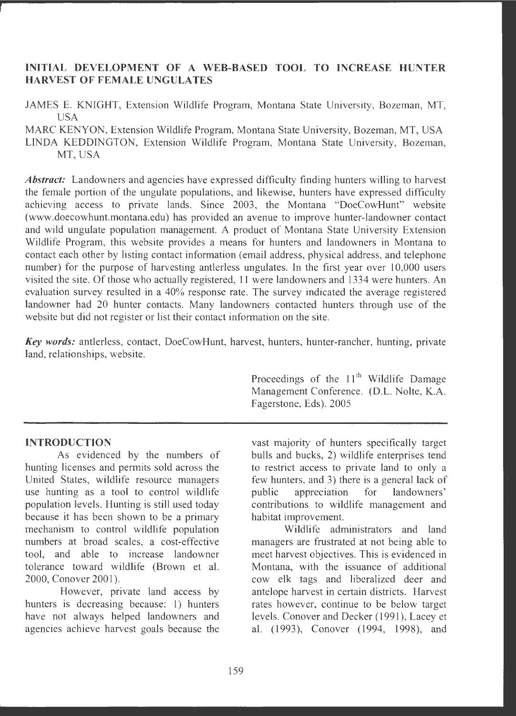# **INITIAL DEVELOPMENT OF A WEB-BASED TOOL TO INCREASE HUNTER HARVEST OF FEMALE UNGULATES**

JAMES E. KNIGHT, Extension Wildlife Program, Montana State University, Bozeman, MT, USA

MARC KENYON, Extension Wildlife Program, Montana State University, Bozeman, MT, USA LINDA KEDDINGTON, Extension Wildlife Program, Montana State University, Bozeman, MT, USA

Abstract: Landowners and agencies have expressed difficulty finding hunters willing to harvest the female portion of the ungulate populations, and likewise, hunters have expressed difficulty achieving access to private lands. Since 2003, the Montana "DoeCowHunt" website (www.doecowhunt.montana.edu) has provided an avenue to improve hunter-landowner contact and wild ungulate population management. A product of Montana State University Extension Wildlife Program, this website provides a means for hunters and landowners in Montana to contact each other by listing contact information (email address, physical address, and telephone number) for the purpose of harvesting antlerless ungulates. In the first year over 10,000 users visited the site. Of those who actually registered, 11 were landowners and 1334 were hunters. An evaluation survey resulted in a 40% response rate. The survey indicated the average registered landowner had 20 hunter contacts. Many landowners contacted hunters through use of the website but did not register or list their contact information on the site.

*Key words:* antlerless, contact, DoeCowHunt, harvest, hunters, hunter-rancher, hunting, private land, relationships, website.

## **INTRODUCTION**

As evidenced by the numbers of hunting licenses and permits sold across the United States, wildiife resource managers use hunting as a tool to control wildlife population levels. Hunting is still used today because it has been shown to be a primary mechanism to control wildlife population numbers at broad scales, a cost-effective tool, and able to increase landowner tolerance toward wildlife (Brown et al. 2000 , Conover 2001).

However, private land access by hunters is decreasing because: 1) hunters have not always helped landowners and agencies achieve harvest goals because the Proceedings of the  $11<sup>th</sup>$  Wildlife Damage Management Conference. (D.L. Nolte, K.A. Fagerstone, Eds). 2005

vast majority of hunters specifically target bulls and bucks, 2) wildlife enterprises tend to restrict access to private land to only a few hunters, and 3) there is a general lack of public appreciation for landowners' contributions to wildlife management and habitat improvement.

Wildlife administrators and land managers are frustrated at not being able to meet harvest objectives. This is evidenced in Montana, with the issuance of additional cow elk tags and liberalized deer and antelope harvest in certain districts. Harvest rates however, continue to be below target levels. Conover and Decker (1991), Lacey et al. (1993), Conover (1994, 1998), and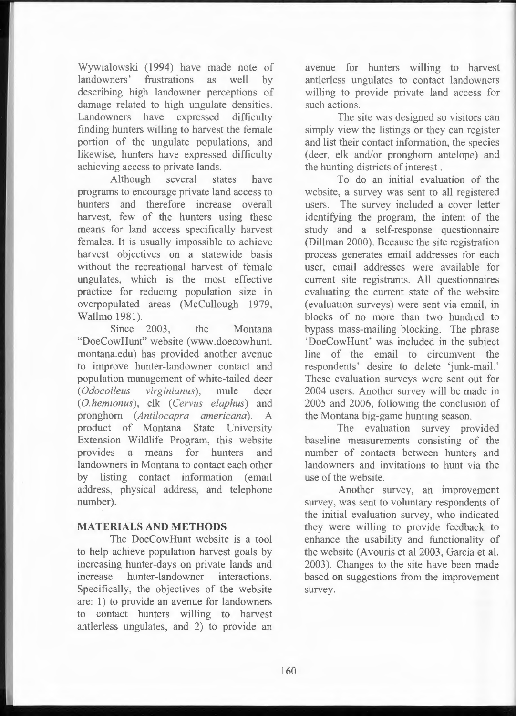Wywialowski (1994) have made note of landowners' frustrations as well by describing high landowner perceptions of damage related to high ungulate densities. Landowners have expressed difficulty finding hunters willing to harvest the female portion of the ungulate populations, and likewise, hunters have expressed difficulty achieving access to private lands.

Although several states have programs to encourage private land access to hunters and therefore increase overall harvest, few of the hunters using these means for land access specifically harvest females. It is usually impossible to achieve harvest objectives on a statewide basis without the recreational harvest of female ungulates, which is the most effective practice for reducing population size in overpopulated areas (McCullough 1979, Wallmo 1981).

Since 2003, the Montana "DoeCowHunt" website (www.doecowhunt. montana.edu) has provided another avenue to improve hunter-landowner contact and population management of white-tailed deer ( *Odocoileus virginianus* ), mule deer ( 0. *hemionus* ), elk ( *Cervus elaphus)* and pronghorn *(Antilocapra americana) .* A product of Montana State University Extension Wildlife Program, this website provides a means for hunters and landowners in Montana to contact each other by listing contact information (email address, physical address, and telephone number).

### **MATERIALS AND METHODS**

The DoeCowHunt website is a tool to help achieve population harvest goals by increasing hunter-days on private lands and increase hunter-landowner interactions. Specifically, the objectives of the website are: 1) to provide an avenue for landowners to contact hunters willing to harvest antlerless ungulates, and 2) to provide an

avenue for hunters willing to harvest antlerless ungulates to contact landowners willing to provide private land access for such actions.

The site was designed so visitors can simply view the listings or they can register and list their contact information, the species (deer, elk and/or pronghorn antelope) and the hunting districts of interest .

To do an initial evaluation of the website, a survey was sent to all registered users. The survey included a cover letter identifying the program, the intent of the study and a self-response questionnaire (Dillman 2000). Because the site registration process generates email addresses for each user, email addresses were available for current site registrants. All questionnaires evaluating the current state of the website (evaluation surveys) were sent via email, in blocks of no more than two hundred to bypass mass-mailing blocking. The phrase 'DoeCowHunt' was included in the subject line of the email to circumvent the respondents' desire to delete 'junk-mail.' These evaluation surveys were sent out for 2004 users. Another survey will be made in 2005 and 2006 , following the conclusion of the Montana big-game hunting season.

The evaluation survey provided baseline measurements consisting of the number of contacts between hunters and landowners and invitations to hunt via the use of the website.

Another survey, an improvement survey, was sent to voluntary respondents of the initial evaluation survey, who indicated they were willing to provide feedback to enhance the usability and functionality of the website (Avouris et al 2003, García et al. 2003). Changes to the site have been made based on suggestions from the improvement survey.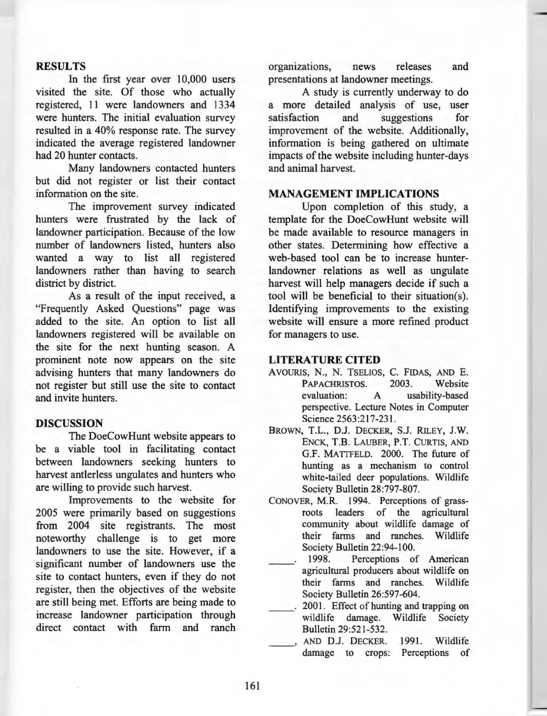## **RESULTS**

In the first year over 10,000 users visited the site. Of those who actually registered, 11 were landowners and 1334 were hunters. The initial evaluation survey resulted in a 40% response rate. The survey indicated the average registered landowner had 20 hunter contacts.

Many landowners contacted hunters but did not register or list their contact information on the site.

The improvement survey indicated hunters were frustrated by the lack of landowner participation. Because of the low number of landowners listed, hunters also wanted a way to list all registered landowners rather than having to search district by district.

As a result of the input received, a "Frequently Asked Questions" page was added to the site. An option to list all landowners registered **will** be available on the site for the next hunting season. A prominent note now appears on the site advising hunters that many landowners do not register but still use the site to contact and invite hunters.

#### **DISCUSSION**

The DoeCowHunt website appears to be a viable tool in facilitating contact between landowners seeking hunters to harvest antlerless ungulates and hunters who are willing to provide such harvest.

Improvements to the website for 2005 were primarily based on suggestions from 2004 site registrants. The most noteworthy challenge is to get more landowners to use the site. However, if a significant number of landowners use the site to contact hunters, even if they do not register, then the objectives of the website are still being met. Efforts are being made to increase landowner participation through direct contact with farm and ranch

organizations, news releases and presentations at landowner meetings.

A study is currently underway to do a more detailed analysis of use, user satisfaction and suggestions for improvement of the website. Additionally, information is being gathered on ultimate impacts of the website including hunter-days and animal harvest.

## **MANAGEMENT IMPLICATIONS**

Upon completion of this study, a template for the DoeCowHunt website will be made available to resource managers in other states. Determining how effective a web-based tool can be to increase hunterlandowner relations as well as ungulate harvest will help managers decide if such a tool will be beneficial to their situation(s). Identifying improvements to the existing website will ensure a more refined product for managers to use.

#### **LITERATURE CITED**

- AVOURIS, N., N. TSELIOS, C. FIDAS, AND E. PAPACHRISTOS. 2003. Website evaluation: A usability-based perspective. Lecture Notes in Computer Science 2563 :217-231.
- BROWN, T.L., DJ. DECKER, S.J. RILEY, J.W. ENCK, T.B. LAUBER, P.T. CURTIS, AND G.F. MATTFELD. 2000. The future of hunting as a mechanism to control white-tailed deer populations. Wildlife Society Bulletin 28:797-807.
- CONOVER, M.R. 1994. Perceptions of grassroots leaders of the agricultural community about wildlife damage of their farms and ranches. Wildlife Society Bulletin 22:94-100.
- 1998. Perceptions of American agricultural producers about wildlife on their farms and ranches. Wildlife Society Bulletin 26:597-604.
- 2001. Effect of hunting and trapping on wildlife damage. Wildlife Society Bulletin 29:521-532.
- AND D.J. DECKER. 1991. Wildlife damage to crops: Perceptions of